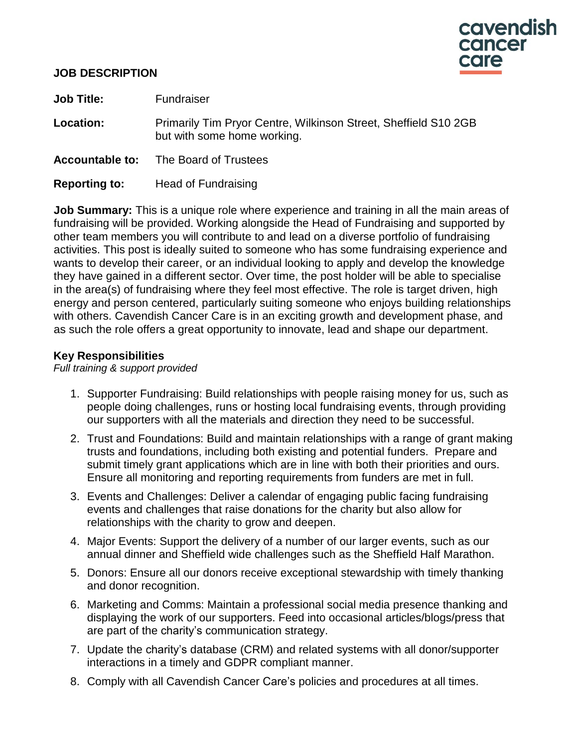

#### **JOB DESCRIPTION**

**Job Title:** Fundraiser Location: Primarily Tim Pryor Centre, Wilkinson Street, Sheffield S10 2GB but with some home working. **Accountable to:** The Board of Trustees

**Reporting to:** Head of Fundraising

**Job Summary:** This is a unique role where experience and training in all the main areas of fundraising will be provided. Working alongside the Head of Fundraising and supported by other team members you will contribute to and lead on a diverse portfolio of fundraising activities. This post is ideally suited to someone who has some fundraising experience and wants to develop their career, or an individual looking to apply and develop the knowledge they have gained in a different sector. Over time, the post holder will be able to specialise in the area(s) of fundraising where they feel most effective. The role is target driven, high energy and person centered, particularly suiting someone who enjoys building relationships with others. Cavendish Cancer Care is in an exciting growth and development phase, and as such the role offers a great opportunity to innovate, lead and shape our department.

## **Key Responsibilities**

*Full training & support provided*

- 1. Supporter Fundraising: Build relationships with people raising money for us, such as people doing challenges, runs or hosting local fundraising events, through providing our supporters with all the materials and direction they need to be successful.
- 2. Trust and Foundations: Build and maintain relationships with a range of grant making trusts and foundations, including both existing and potential funders. Prepare and submit timely grant applications which are in line with both their priorities and ours. Ensure all monitoring and reporting requirements from funders are met in full.
- 3. Events and Challenges: Deliver a calendar of engaging public facing fundraising events and challenges that raise donations for the charity but also allow for relationships with the charity to grow and deepen.
- 4. Major Events: Support the delivery of a number of our larger events, such as our annual dinner and Sheffield wide challenges such as the Sheffield Half Marathon.
- 5. Donors: Ensure all our donors receive exceptional stewardship with timely thanking and donor recognition.
- 6. Marketing and Comms: Maintain a professional social media presence thanking and displaying the work of our supporters. Feed into occasional articles/blogs/press that are part of the charity's communication strategy.
- 7. Update the charity's database (CRM) and related systems with all donor/supporter interactions in a timely and GDPR compliant manner.
- 8. Comply with all Cavendish Cancer Care's policies and procedures at all times.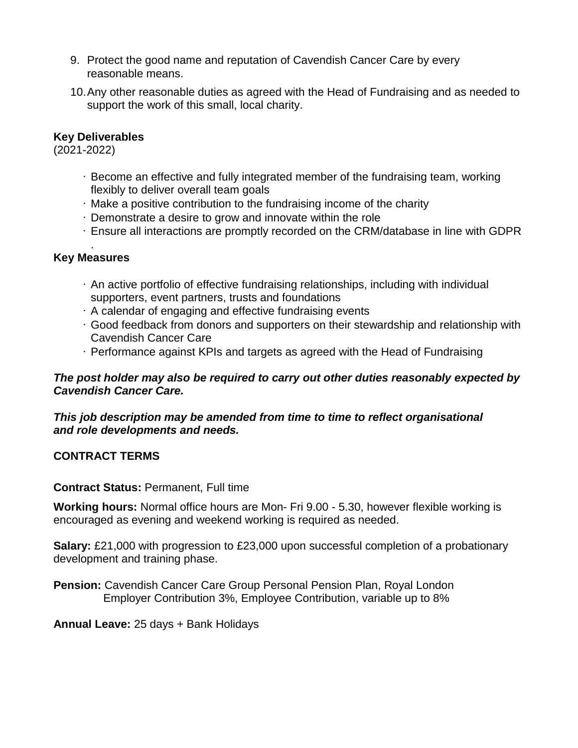- 9. Protect the good name and reputation of Cavendish Cancer Care by every reasonable means.
- 10.Any other reasonable duties as agreed with the Head of Fundraising and as needed to support the work of this small, local charity.

# **Key Deliverables**

(2021-2022)

- Become an effective and fully integrated member of the fundraising team, working flexibly to deliver overall team goals
- Make a positive contribution to the fundraising income of the charity
- Demonstrate a desire to grow and innovate within the role
- Ensure all interactions are promptly recorded on the CRM/database in line with GDPR

#### . **Key Measures**

- An active portfolio of effective fundraising relationships, including with individual supporters, event partners, trusts and foundations
- A calendar of engaging and effective fundraising events
- Good feedback from donors and supporters on their stewardship and relationship with Cavendish Cancer Care
- Performance against KPIs and targets as agreed with the Head of Fundraising

## *The post holder may also be required to carry out other duties reasonably expected by Cavendish Cancer Care.*

*This job description may be amended from time to time to reflect organisational and role developments and needs.*

## **CONTRACT TERMS**

#### **Contract Status:** Permanent, Full time

**Working hours:** Normal office hours are Mon- Fri 9.00 - 5.30, however flexible working is encouraged as evening and weekend working is required as needed.

**Salary:** £21,000 with progression to £23,000 upon successful completion of a probationary development and training phase.

**Pension:** Cavendish Cancer Care Group Personal Pension Plan, Royal London Employer Contribution 3%, Employee Contribution, variable up to 8%

#### **Annual Leave:** 25 days + Bank Holidays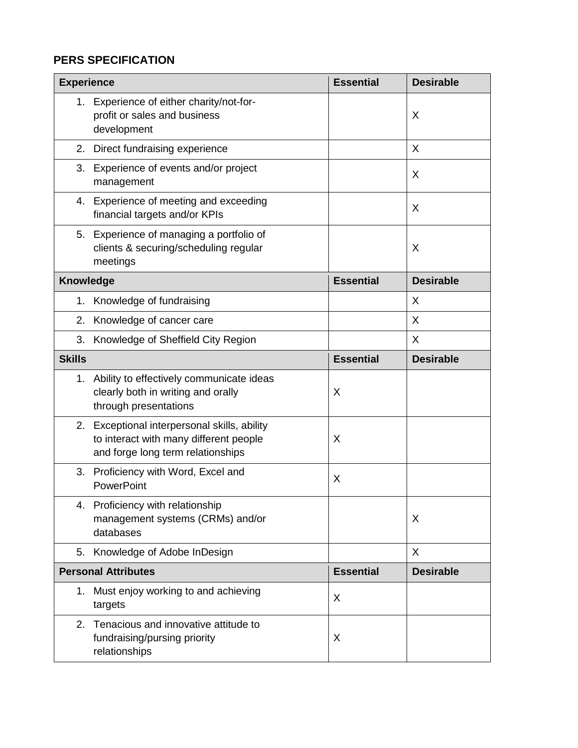# **PERS SPECIFICATION**

| <b>Experience</b>          |                                                                                                                             | <b>Essential</b> | <b>Desirable</b> |
|----------------------------|-----------------------------------------------------------------------------------------------------------------------------|------------------|------------------|
| 1.                         | Experience of either charity/not-for-<br>profit or sales and business<br>development                                        |                  | X                |
| 2.                         | Direct fundraising experience                                                                                               |                  | X                |
| 3.                         | Experience of events and/or project<br>management                                                                           |                  | X                |
|                            | 4. Experience of meeting and exceeding<br>financial targets and/or KPIs                                                     |                  | X                |
| 5.                         | Experience of managing a portfolio of<br>clients & securing/scheduling regular<br>meetings                                  |                  | X                |
| <b>Knowledge</b>           |                                                                                                                             | <b>Essential</b> | <b>Desirable</b> |
| 1.                         | Knowledge of fundraising                                                                                                    |                  | X                |
| 2.                         | Knowledge of cancer care                                                                                                    |                  | X                |
| 3.                         | Knowledge of Sheffield City Region                                                                                          |                  | X                |
| <b>Skills</b>              |                                                                                                                             | <b>Essential</b> | <b>Desirable</b> |
|                            | 1. Ability to effectively communicate ideas<br>clearly both in writing and orally<br>through presentations                  | Χ                |                  |
|                            | 2. Exceptional interpersonal skills, ability<br>to interact with many different people<br>and forge long term relationships | X                |                  |
| 3.                         | Proficiency with Word, Excel and<br>PowerPoint                                                                              | X                |                  |
| 4.                         | Proficiency with relationship<br>management systems (CRMs) and/or<br>databases                                              |                  | X                |
| 5.                         | Knowledge of Adobe InDesign                                                                                                 |                  | X                |
| <b>Personal Attributes</b> |                                                                                                                             | <b>Essential</b> | <b>Desirable</b> |
| 1.                         | Must enjoy working to and achieving<br>targets                                                                              | X                |                  |
| 2.                         | Tenacious and innovative attitude to<br>fundraising/pursing priority<br>relationships                                       | Χ                |                  |